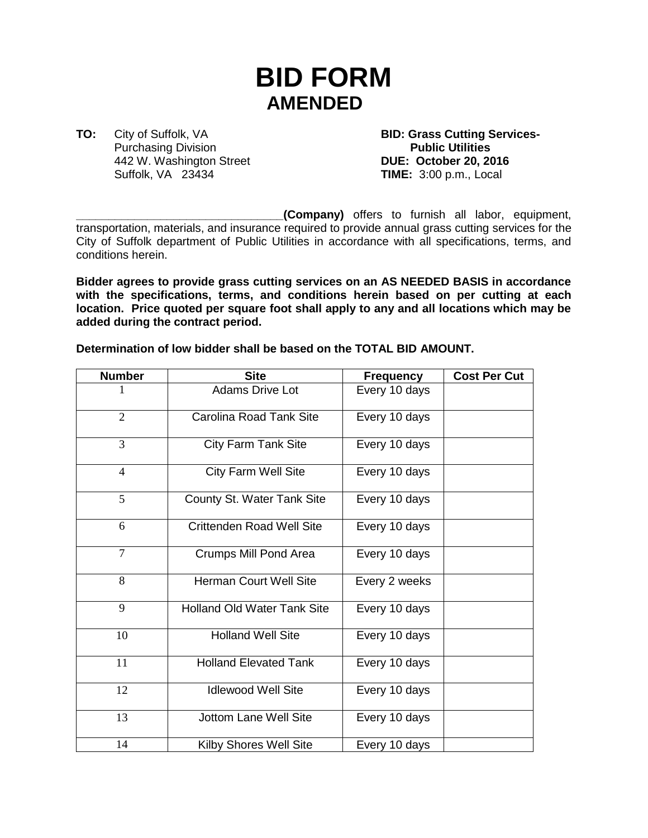## **BID FORM AMENDED**

**TO:** City of Suffolk, VA **BID: Grass Cutting Services-**<br> **Purchasing Division Purchasing Division** 442 W. Washington Street **DUE: October 20, 2016** Suffolk, VA 23434 **TIME:** 3:00 p.m., Local

**\_\_\_\_\_\_\_\_\_\_\_\_\_\_\_\_\_\_\_\_\_\_\_\_\_\_\_\_\_\_\_\_(Company)** offers to furnish all labor, equipment, transportation, materials, and insurance required to provide annual grass cutting services for the City of Suffolk department of Public Utilities in accordance with all specifications, terms, and conditions herein.

**Bidder agrees to provide grass cutting services on an AS NEEDED BASIS in accordance with the specifications, terms, and conditions herein based on per cutting at each location. Price quoted per square foot shall apply to any and all locations which may be added during the contract period.**

**Determination of low bidder shall be based on the TOTAL BID AMOUNT.**

| <b>Number</b>  | <b>Site</b>                        | <b>Frequency</b> | <b>Cost Per Cut</b> |
|----------------|------------------------------------|------------------|---------------------|
|                | <b>Adams Drive Lot</b>             | Every 10 days    |                     |
| 2              | <b>Carolina Road Tank Site</b>     | Every 10 days    |                     |
| 3              | <b>City Farm Tank Site</b>         | Every 10 days    |                     |
| $\overline{4}$ | <b>City Farm Well Site</b>         | Every 10 days    |                     |
| 5              | County St. Water Tank Site         | Every 10 days    |                     |
| 6              | <b>Crittenden Road Well Site</b>   | Every 10 days    |                     |
| $\overline{7}$ | <b>Crumps Mill Pond Area</b>       | Every 10 days    |                     |
| 8              | Herman Court Well Site             | Every 2 weeks    |                     |
| 9              | <b>Holland Old Water Tank Site</b> | Every 10 days    |                     |
| 10             | <b>Holland Well Site</b>           | Every 10 days    |                     |
| 11             | <b>Holland Elevated Tank</b>       | Every 10 days    |                     |
| 12             | <b>Idlewood Well Site</b>          | Every 10 days    |                     |
| 13             | <b>Jottom Lane Well Site</b>       | Every 10 days    |                     |
| 14             | Kilby Shores Well Site             | Every 10 days    |                     |